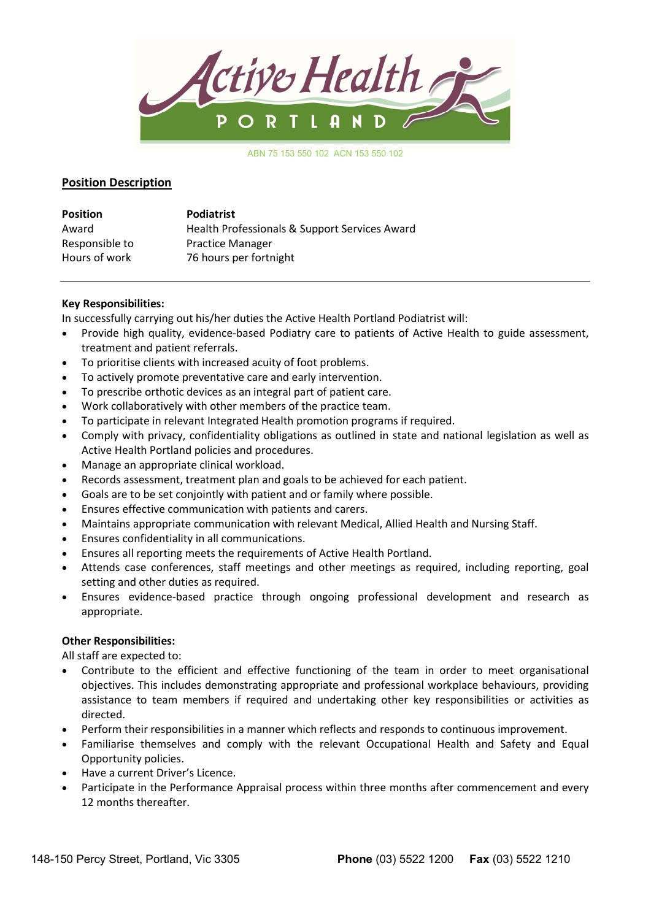

ABN 75 153 550 102 ACN 153 550 102

## Position Description

| <b>Position</b> | <b>Podiatrist</b>                             |
|-----------------|-----------------------------------------------|
| Award           | Health Professionals & Support Services Award |
| Responsible to  | <b>Practice Manager</b>                       |
| Hours of work   | 76 hours per fortnight                        |

### Key Responsibilities:

In successfully carrying out his/her duties the Active Health Portland Podiatrist will:

- Provide high quality, evidence-based Podiatry care to patients of Active Health to guide assessment, treatment and patient referrals.
- To prioritise clients with increased acuity of foot problems.
- To actively promote preventative care and early intervention.
- To prescribe orthotic devices as an integral part of patient care.
- Work collaboratively with other members of the practice team.
- To participate in relevant Integrated Health promotion programs if required.
- Comply with privacy, confidentiality obligations as outlined in state and national legislation as well as Active Health Portland policies and procedures.
- Manage an appropriate clinical workload.
- Records assessment, treatment plan and goals to be achieved for each patient.
- Goals are to be set conjointly with patient and or family where possible.
- Ensures effective communication with patients and carers.
- Maintains appropriate communication with relevant Medical, Allied Health and Nursing Staff.
- Ensures confidentiality in all communications.
- Ensures all reporting meets the requirements of Active Health Portland.
- Attends case conferences, staff meetings and other meetings as required, including reporting, goal setting and other duties as required.
- Ensures evidence-based practice through ongoing professional development and research as appropriate.

#### Other Responsibilities:

All staff are expected to:

- Contribute to the efficient and effective functioning of the team in order to meet organisational objectives. This includes demonstrating appropriate and professional workplace behaviours, providing assistance to team members if required and undertaking other key responsibilities or activities as directed.
- Perform their responsibilities in a manner which reflects and responds to continuous improvement.
- Familiarise themselves and comply with the relevant Occupational Health and Safety and Equal Opportunity policies.
- Have a current Driver's Licence.
- Participate in the Performance Appraisal process within three months after commencement and every 12 months thereafter.